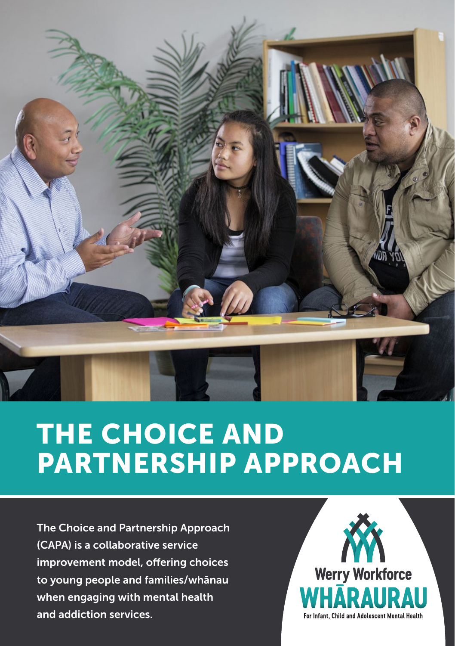

## THE CHOICE AND PARTNERSHIP APPROACH

The Choice and Partnership Approach (CAPA) is a collaborative service improvement model, offering choices to young people and families/whānau when engaging with mental health and addiction services.